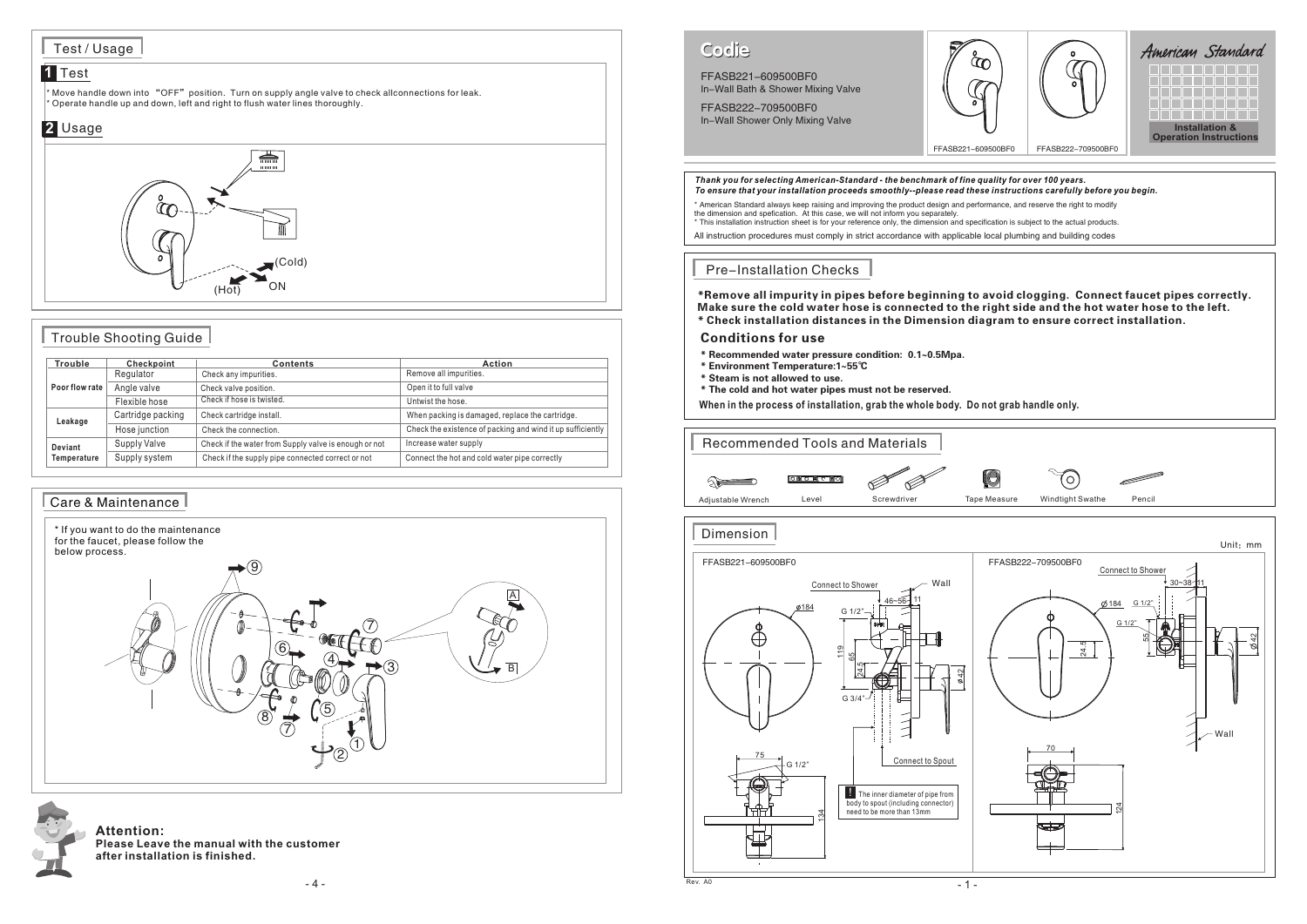## FFASB221-609500BF0

In-Wall Bath & Shower Mixing Valve FFASB222-709500BF0

In-Wall Shower Only Mixing Valve

# Codie



j



 $^{\circ}$  Move handle down into "OFF" position. Turn on supply angle valve to check allconnections for leak. \* Operate handle up and down, left and right to flush water lines thoroughly.

#### Care & Maintenance

**Attention: Please Leave the manual with the customer after installation is finished.**

#### Test / Usage

#### **1** Test

### Trouble Shooting Guide





| <b>Trouble</b>         | Checkpoint        | <b>Contents</b>                                       | <b>Action</b>                                              |
|------------------------|-------------------|-------------------------------------------------------|------------------------------------------------------------|
| Poor flow rate         | Regulator         | Check any impurities.                                 | Remove all impurities.                                     |
|                        | Angle valve       | Check valve position.                                 | Open it to full valve                                      |
|                        | Flexible hose     | Check if hose is twisted.                             | Untwist the hose.                                          |
| Leakage                | Cartridge packing | Check cartridge install.                              | When packing is damaged, replace the cartridge.            |
|                        | Hose junction     | Check the connection.                                 | Check the existence of packing and wind it up sufficiently |
| Deviant<br>Temperature | Supply Valve      | Check if the water from Supply valve is enough or not | Increase water supply                                      |
|                        | Supply system     | Check if the supply pipe connected correct or not     | Connect the hot and cold water pipe correctly              |

### *Thank you for selecting American-Standard - the benchmark of fine quality for over 100 years. To ensure that your installation proceeds smoothly--please read these instructions carefully before you begin.* \* American Standard always keep raising and improving the product design and performance, and reserve the right to modify the dimension and spefication. At this case, we will not inform you separately. \* This installation instruction sheet is for your reference only, the dimension and specification is subject to the actual products. All instruction procedures must comply in strict accordance with applicable local plumbing and building codes Pre-Installation Checks \*Remove all impurity in pipes before beginning to avoid clogging. Connect faucet pipes correctly. Make sure the cold water hose is connected to the right side and the hot water hose to the left. \* Check installation distances in the Dimension diagram to ensure correct installation. Conditions for use \* Recommended water pressure condition: 0.1~0.5Mpa. \* Environment Temperature:1~55℃ \* Steam is not allowed to use. \* The cold and hot water pipes must not be reserved. **When in the process of installation, grab the whole body. Do not grab handle only.** LO<sub>.</sub> **CON CON CONC**  $\infty$  $\ll$ Connect to Shower Wall11  $\frac{184}{2}$   $\frac{184}{2}$  $G 1/2$